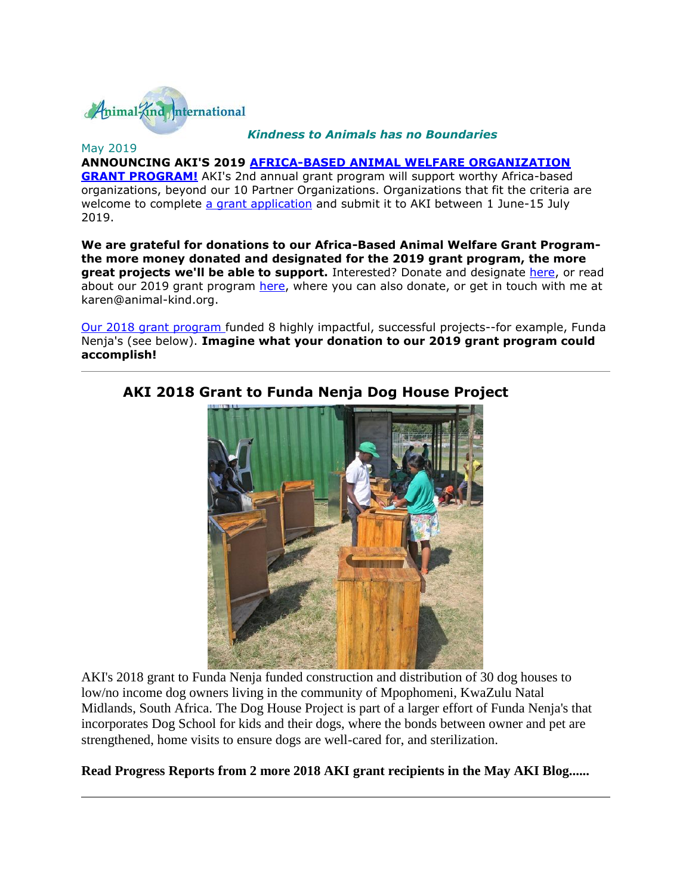

#### *Kindness to Animals has no Boundaries*

#### May 2019

**ANNOUNCING AKI'S 2019 [AFRICA-BASED ANIMAL WELFARE ORGANIZATION](http://cts.vresp.com/c/?AnimalKindInternatio/4d8e90f6d6/2a79448197/4ed14e6c3c)  [GRANT PROGRAM!](http://cts.vresp.com/c/?AnimalKindInternatio/4d8e90f6d6/2a79448197/4ed14e6c3c)** AKI's 2nd annual grant program will support worthy Africa-based organizations, beyond our 10 Partner Organizations. Organizations that fit the criteria are welcome to complete [a grant application](http://cts.vresp.com/c/?AnimalKindInternatio/4d8e90f6d6/2a79448197/368e005dc1) and submit it to AKI between 1 June-15 July 2019.

**We are grateful for donations to our Africa-Based Animal Welfare Grant Programthe more money donated and designated for the 2019 grant program, the more great projects we'll be able to support.** Interested? Donate and designate [here,](http://cts.vresp.com/c/?AnimalKindInternatio/4d8e90f6d6/2a79448197/479987da45) or read about our 2019 grant program [here,](http://cts.vresp.com/c/?AnimalKindInternatio/4d8e90f6d6/2a79448197/00c05ca462) where you can also donate, or get in touch with me at karen@animal-kind.org.

[Our 2018 grant program](http://cts.vresp.com/c/?AnimalKindInternatio/4d8e90f6d6/2a79448197/07f66cbd8b) funded 8 highly impactful, successful projects--for example, Funda Nenja's (see below). **Imagine what your donation to our 2019 grant program could accomplish!**



### **AKI 2018 Grant to Funda Nenja Dog House Project**

AKI's 2018 grant to Funda Nenja funded construction and distribution of 30 dog houses to low/no income dog owners living in the community of Mpophomeni, KwaZulu Natal Midlands, South Africa. The Dog House Project is part of a larger effort of Funda Nenja's that incorporates Dog School for kids and their dogs, where the bonds between owner and pet are strengthened, home visits to ensure dogs are well-cared for, and sterilization.

#### **Read Progress Reports from 2 more 2018 AKI grant recipients in the May AKI Blog......**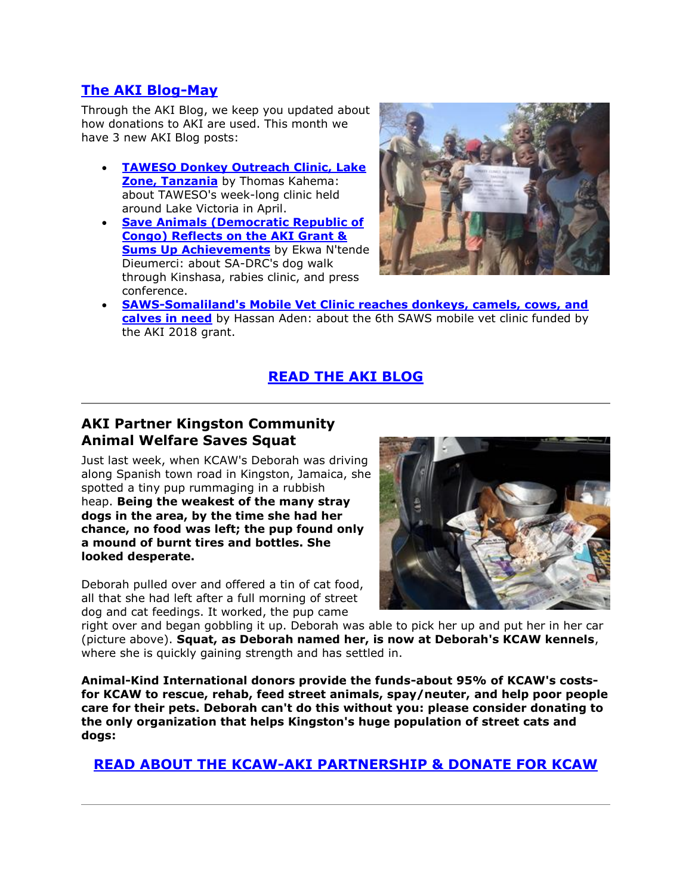### **[The AKI Blog-May](http://cts.vresp.com/c/?AnimalKindInternatio/4d8e90f6d6/2a79448197/49376d6c1d)**

Through the AKI Blog, we keep you updated about how donations to AKI are used. This month we have 3 new AKI Blog posts:

- **[TAWESO Donkey Outreach Clinic, Lake](http://cts.vresp.com/c/?AnimalKindInternatio/4d8e90f6d6/2a79448197/49ddc41514)  [Zone, Tanzania](http://cts.vresp.com/c/?AnimalKindInternatio/4d8e90f6d6/2a79448197/49ddc41514)** by Thomas Kahema: about TAWESO's week-long clinic held around Lake Victoria in April.
- **[Save Animals \(Democratic Republic of](http://cts.vresp.com/c/?AnimalKindInternatio/4d8e90f6d6/2a79448197/c68401cedc)  [Congo\) Reflects on the AKI Grant &](http://cts.vresp.com/c/?AnimalKindInternatio/4d8e90f6d6/2a79448197/c68401cedc)  [Sums Up Achievements](http://cts.vresp.com/c/?AnimalKindInternatio/4d8e90f6d6/2a79448197/c68401cedc)** by Ekwa N'tende Dieumerci: about SA-DRC's dog walk through Kinshasa, rabies clinic, and press conference.



 **[SAWS-Somaliland's Mobile Vet Clinic reaches donkeys, camels, cows, and](http://cts.vresp.com/c/?AnimalKindInternatio/4d8e90f6d6/2a79448197/e566b3ab56)  [calves in need](http://cts.vresp.com/c/?AnimalKindInternatio/4d8e90f6d6/2a79448197/e566b3ab56)** by Hassan Aden: about the 6th SAWS mobile vet clinic funded by the AKI 2018 grant.

# **[READ THE AKI BLOG](http://cts.vresp.com/c/?AnimalKindInternatio/4d8e90f6d6/2a79448197/844b61ca54)**

## **AKI Partner Kingston Community Animal Welfare Saves Squat**

Just last week, when KCAW's Deborah was driving along Spanish town road in Kingston, Jamaica, she spotted a tiny pup rummaging in a rubbish heap. **Being the weakest of the many stray dogs in the area, by the time she had her chance, no food was left; the pup found only a mound of burnt tires and bottles. She looked desperate.**

Deborah pulled over and offered a tin of cat food, all that she had left after a full morning of street dog and cat feedings. It worked, the pup came



right over and began gobbling it up. Deborah was able to pick her up and put her in her car (picture above). **Squat, as Deborah named her, is now at Deborah's KCAW kennels**, where she is quickly gaining strength and has settled in.

**Animal-Kind International donors provide the funds-about 95% of KCAW's costsfor KCAW to rescue, rehab, feed street animals, spay/neuter, and help poor people care for their pets. Deborah can't do this without you: please consider donating to the only organization that helps Kingston's huge population of street cats and dogs:**

**[READ ABOUT THE KCAW-AKI PARTNERSHIP & DONATE FOR KCAW](http://cts.vresp.com/c/?AnimalKindInternatio/4d8e90f6d6/2a79448197/8260de82b2)**